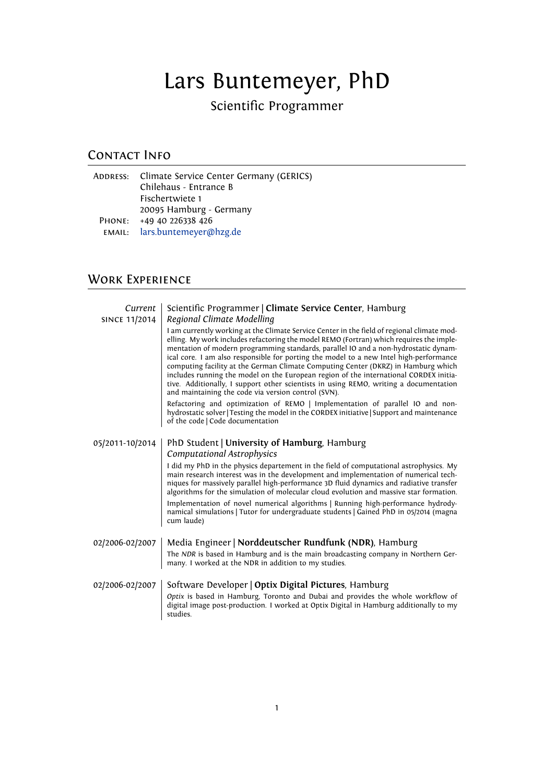# Lars Buntemeyer, PhD

Scientific Programmer

# CONTACT INFO

ADDRESS: Climate Service Center Germany (GERICS) Chilehaus - Entrance B Fischertwiete 1 20095 Hamburg - Germany PHONE: +49 40 226338 426 email: [lars.buntemeyer@hzg.de](mailto:lars.buntemeyer@hzg.de)

# Work Experience

| Current<br><b>SINCE 11/2014</b> | Scientific Programmer   Climate Service Center, Hamburg<br>Regional Climate Modelling<br>I am currently working at the Climate Service Center in the field of regional climate mod-<br>elling. My work includes refactoring the model REMO (Fortran) which requires the imple-<br>mentation of modern programming standards, parallel IO and a non-hydrostatic dynam-<br>ical core. I am also responsible for porting the model to a new Intel high-performance<br>computing facility at the German Climate Computing Center (DKRZ) in Hamburg which<br>includes running the model on the European region of the international CORDEX initia-<br>tive. Additionally, I support other scientists in using REMO, writing a documentation<br>and maintaining the code via version control (SVN).<br>Refactoring and optimization of REMO   Implementation of parallel IO and non-<br>hydrostatic solver Testing the model in the CORDEX initiative Support and maintenance<br>of the code   Code documentation |
|---------------------------------|-------------------------------------------------------------------------------------------------------------------------------------------------------------------------------------------------------------------------------------------------------------------------------------------------------------------------------------------------------------------------------------------------------------------------------------------------------------------------------------------------------------------------------------------------------------------------------------------------------------------------------------------------------------------------------------------------------------------------------------------------------------------------------------------------------------------------------------------------------------------------------------------------------------------------------------------------------------------------------------------------------------|
| 05/2011-10/2014                 | PhD Student   University of Hamburg, Hamburg<br><b>Computational Astrophysics</b><br>I did my PhD in the physics departement in the field of computational astrophysics. My<br>main research interest was in the development and implementation of numerical tech-<br>niques for massively parallel high-performance 3D fluid dynamics and radiative transfer<br>algorithms for the simulation of molecular cloud evolution and massive star formation.<br>Implementation of novel numerical algorithms   Running high-performance hydrody-<br>namical simulations   Tutor for undergraduate students   Gained PhD in 05/2014 (magna<br>cum laude)                                                                                                                                                                                                                                                                                                                                                          |
| 02/2006-02/2007                 | Media Engineer   Norddeutscher Rundfunk (NDR), Hamburg<br>The NDR is based in Hamburg and is the main broadcasting company in Northern Ger-<br>many. I worked at the NDR in addition to my studies.                                                                                                                                                                                                                                                                                                                                                                                                                                                                                                                                                                                                                                                                                                                                                                                                         |
| 02/2006-02/2007                 | Software Developer   Optix Digital Pictures, Hamburg<br>Optix is based in Hamburg, Toronto and Dubai and provides the whole workflow of<br>digital image post-production. I worked at Optix Digital in Hamburg additionally to my<br>studies.                                                                                                                                                                                                                                                                                                                                                                                                                                                                                                                                                                                                                                                                                                                                                               |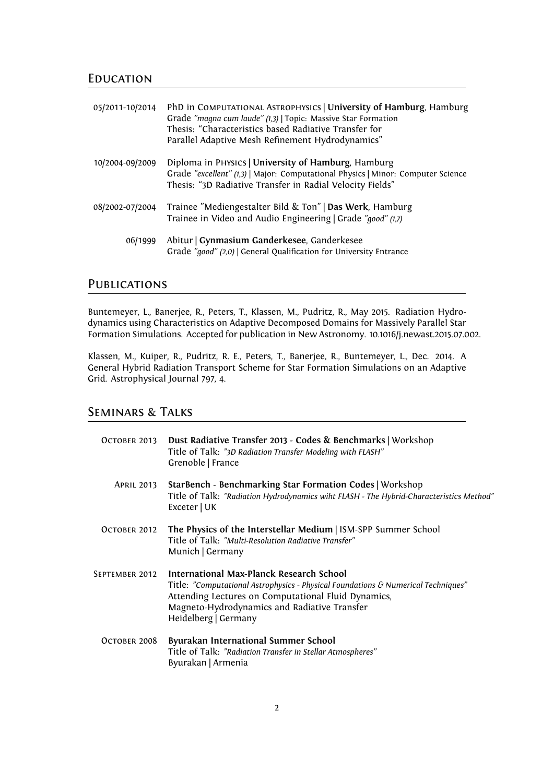#### **EDUCATION**

| 05/2011-10/2014 | PhD in COMPUTATIONAL ASTROPHYSICS   University of Hamburg, Hamburg<br>Grade "magna cum laude" (1,3)   Topic: Massive Star Formation<br>Thesis: "Characteristics based Radiative Transfer for<br>Parallel Adaptive Mesh Refinement Hydrodynamics" |
|-----------------|--------------------------------------------------------------------------------------------------------------------------------------------------------------------------------------------------------------------------------------------------|
| 10/2004-09/2009 | Diploma in PHYSICS   University of Hamburg, Hamburg<br>Grade "excellent" (1,3)   Major: Computational Physics   Minor: Computer Science<br>Thesis: "3D Radiative Transfer in Radial Velocity Fields"                                             |
| 08/2002-07/2004 | Trainee "Mediengestalter Bild & Ton"   Das Werk, Hamburg<br>Trainee in Video and Audio Engineering   Grade "good" (1,7)                                                                                                                          |
| 06/1999         | Abitur   Gynmasium Ganderkesee, Ganderkesee<br>Grade "good" (2,0)   General Qualification for University Entrance                                                                                                                                |

## **PUBLICATIONS**

Buntemeyer, L., Banerjee, R., Peters, T., Klassen, M., Pudritz, R., May 2015. Radiation Hydrodynamics using Characteristics on Adaptive Decomposed Domains for Massively Parallel Star Formation Simulations. Accepted for publication in New Astronomy. 10.1016/j.newast.2015.07.002.

Klassen, M., Kuiper, R., Pudritz, R. E., Peters, T., Banerjee, R., Buntemeyer, L., Dec. 2014. A General Hybrid Radiation Transport Scheme for Star Formation Simulations on an Adaptive Grid. Astrophysical Journal 797, 4.

#### Seminars & Talks

| OCTOBER 2013      | Dust Radiative Transfer 2013 - Codes & Benchmarks   Workshop<br>Title of Talk: "3D Radiation Transfer Modeling with FLASH"<br>Grenoble   France                                                                                                              |
|-------------------|--------------------------------------------------------------------------------------------------------------------------------------------------------------------------------------------------------------------------------------------------------------|
| <b>APRIL 2013</b> | StarBench - Benchmarking Star Formation Codes   Workshop<br>Title of Talk: "Radiation Hydrodynamics wiht FLASH - The Hybrid-Characteristics Method"<br>Exceter   UK                                                                                          |
| OCTOBER 2012      | The Physics of the Interstellar Medium   ISM-SPP Summer School<br>Title of Talk: "Multi-Resolution Radiative Transfer"<br>Munich   Germany                                                                                                                   |
| SEPTEMBER 2012    | International Max-Planck Research School<br>Title: "Computational Astrophysics - Physical Foundations & Numerical Techniques"<br>Attending Lectures on Computational Fluid Dynamics,<br>Magneto-Hydrodynamics and Radiative Transfer<br>Heidelberg   Germany |
| OCTOBER 2008      | Byurakan International Summer School<br>Title of Talk: "Radiation Transfer in Stellar Atmospheres"<br>Byurakan   Armenia                                                                                                                                     |